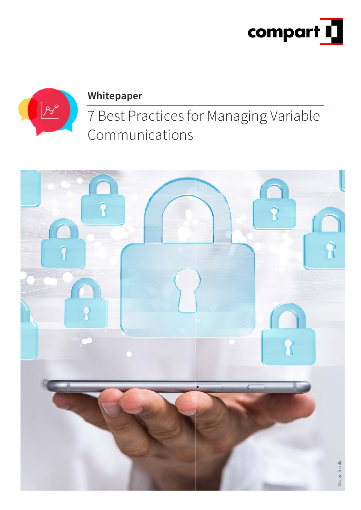



#### **Whitepaper**

7 Best Practices for Managing Variable Communications

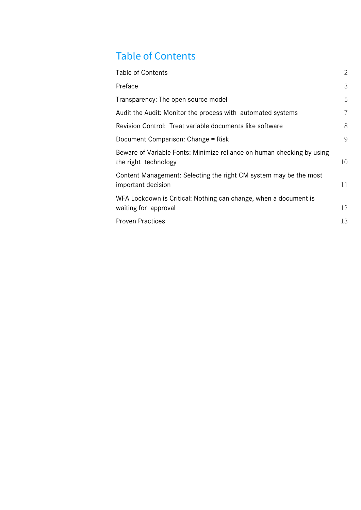# Table of Contents

| <b>Table of Contents</b>                                                                       | $\overline{2}$ |
|------------------------------------------------------------------------------------------------|----------------|
| Preface                                                                                        | 3              |
| Transparency: The open source model                                                            | 5              |
| Audit the Audit: Monitor the process with automated systems                                    | $\overline{7}$ |
| Revision Control: Treat variable documents like software                                       | 8              |
| Document Comparison: Change = Risk                                                             | 9              |
| Beware of Variable Fonts: Minimize reliance on human checking by using<br>the right technology | 10             |
| Content Management: Selecting the right CM system may be the most<br>important decision        | 11             |
| WFA Lockdown is Critical: Nothing can change, when a document is<br>waiting for approval       | 12             |
| <b>Proven Practices</b>                                                                        | 13             |
|                                                                                                |                |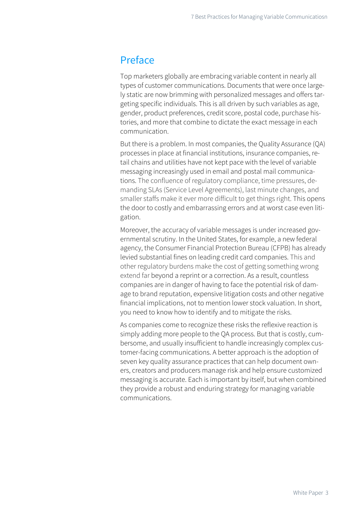#### Preface

Top marketers globally are embracing variable content in nearly all types of customer communications. Documents that were once largely static are now brimming with personalized messages and offers targeting specific individuals. This is all driven by such variables as age, gender, product preferences, credit score, postal code, purchase histories, and more that combine to dictate the exact message in each communication.

But there is a problem. In most companies, the Quality Assurance (QA) processes in place at financial institutions, insurance companies, retail chains and utilities have not kept pace with the level of variable messaging increasingly used in email and postal mail communications. The confluence of regulatory compliance, time pressures, demanding SLAs (Service Level Agreements), last minute changes, and smaller staffs make it ever more difficult to get things right. This opens the door to costly and embarrassing errors and at worst case even litigation.

Moreover, the accuracy of variable messages is under increased governmental scrutiny. In the United States, for example, a new federal agency, the Consumer Financial Protection Bureau (CFPB) has already levied substantial fines on leading credit card companies. This and other regulatory burdens make the cost of getting something wrong extend far beyond a reprint or a correction. As a result, countless companies are in danger of having to face the potential risk of damage to brand reputation, expensive litigation costs and other negative financial implications, not to mention lower stock valuation. In short, you need to know how to identify and to mitigate the risks.

As companies come to recognize these risks the reflexive reaction is simply adding more people to the QA process. But that is costly, cumbersome, and usually insufficient to handle increasingly complex customer-facing communications. A better approach is the adoption of seven key quality assurance practices that can help document owners, creators and producers manage risk and help ensure customized messaging is accurate. Each is important by itself, but when combined they provide a robust and enduring strategy for managing variable communications.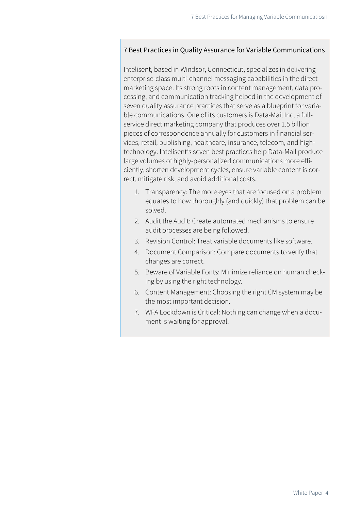#### 7 Best Practices in Quality Assurance for Variable Communications

Intelisent, based in Windsor, Connecticut, specializes in delivering enterprise-class multi-channel messaging capabilities in the direct marketing space. Its strong roots in content management, data processing, and communication tracking helped in the development of seven quality assurance practices that serve as a blueprint for variable communications. One of its customers is Data-Mail Inc, a fullservice direct marketing company that produces over 1.5 billion pieces of correspondence annually for customers in financial services, retail, publishing, healthcare, insurance, telecom, and hightechnology. Intelisent's seven best practices help Data-Mail produce large volumes of highly-personalized communications more efficiently, shorten development cycles, ensure variable content is correct, mitigate risk, and avoid additional costs.

- 1. Transparency: The more eyes that are focused on a problem equates to how thoroughly (and quickly) that problem can be solved.
- 2. Audit the Audit: Create automated mechanisms to ensure audit processes are being followed.
- 3. Revision Control: Treat variable documents like software.
- 4. Document Comparison: Compare documents to verify that changes are correct.
- 5. Beware of Variable Fonts: Minimize reliance on human checking by using the right technology.
- 6. Content Management: Choosing the right CM system may be the most important decision.
- 7. WFA Lockdown is Critical: Nothing can change when a document is waiting for approval.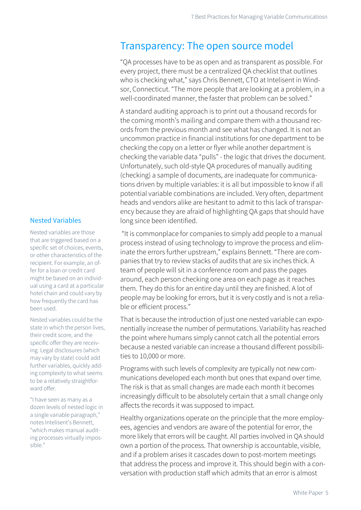#### Transparency: The open source model

"QA processes have to be as open and as transparent as possible. For every project, there must be a centralized QA checklist that outlines who is checking what," says Chris Bennett, CTO at Intelisent in Windsor, Connecticut. "The more people that are looking at a problem, in a well-coordinated manner, the faster that problem can be solved."

A standard auditing approach is to print out a thousand records for the coming month's mailing and compare them with a thousand records from the previous month and see what has changed. It is not an uncommon practice in financial institutions for one department to be checking the copy on a letter or flyer while another department is checking the variable data "pulls" - the logic that drives the document. Unfortunately, such old-style QA procedures of manually auditing (checking) a sample of documents, are inadequate for communications driven by multiple variables: it is all but impossible to know if all potential variable combinations are included. Very often, department heads and vendors alike are hesitant to admit to this lack of transparency because they are afraid of highlighting QA gaps that should have long since been identified.

 "It is commonplace for companies to simply add people to a manual process instead of using technology to improve the process and eliminate the errors further upstream," explains Bennett. "There are companies that try to review stacks of audits that are six inches thick. A team of people will sit in a conference room and pass the pages around, each person checking one area on each page as it reaches them. They do this for an entire day until they are finished. A lot of people may be looking for errors, but it is very costly and is not a reliable or efficient process."

That is because the introduction of just one nested variable can exponentially increase the number of permutations. Variability has reached the point where humans simply cannot catch all the potential errors because a nested variable can increase a thousand different possibilities to 10,000 or more.

Programs with such levels of complexity are typically not new communications developed each month but ones that expand over time. The risk is that as small changes are made each month it becomes increasingly difficult to be absolutely certain that a small change only affects the records it was supposed to impact.

Healthy organizations operate on the principle that the more employees, agencies and vendors are aware of the potential for error, the more likely that errors will be caught. All parties involved in QA should own a portion of the process. That ownership is accountable, visible, and if a problem arises it cascades down to post-mortem meetings that address the process and improve it. This should begin with a conversation with production staff which admits that an error is almost

#### Nested Variables

Nested variables are those that are triggered based on a specific set of choices, events, or other characteristics of the recipient. For example, an offer for a loan or credit card might be based on an individual using a card at a particular hotel chain and could vary by how frequently the card has been used.

Nested variables could be the state in which the person lives, their credit score, and the specific offer they are receiving. Legal disclosures (which may vary by state) could add further variables, quickly adding complexity to what seems to be a relatively straightforward offer.

"I have seen as many as a dozen levels of nested logic in a single variable paragraph," notes Intelisent's Bennett, "which makes manual auditing processes virtually impossible."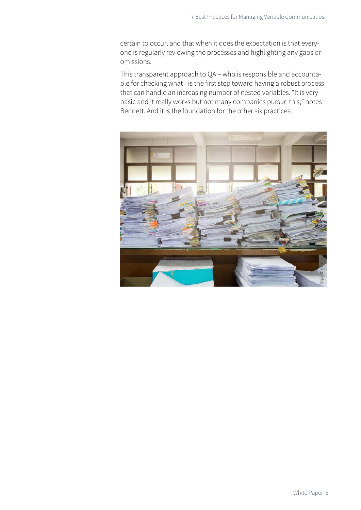certain to occur, and that when it does the expectation is that everyone is regularly reviewing the processes and highlighting any gaps or omissions.

This transparent approach to QA – who is responsible and accountable for checking what - is the first step toward having a robust process that can handle an increasing number of nested variables. "It is very basic and it really works but not many companies pursue this," notes Bennett. And it is the foundation for the other six practices.

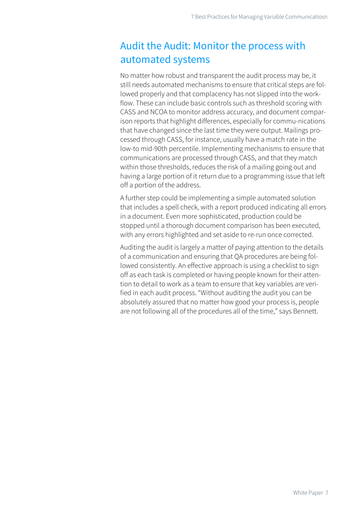## Audit the Audit: Monitor the process with automated systems

No matter how robust and transparent the audit process may be, it still needs automated mechanisms to ensure that critical steps are followed properly and that complacency has not slipped into the workflow. These can include basic controls such as threshold scoring with CASS and NCOA to monitor address accuracy, and document comparison reports that highlight differences, especially for commu-nications that have changed since the last time they were output. Mailings processed through CASS, for instance, usually have a match rate in the low-to mid-90th percentile. Implementing mechanisms to ensure that communications are processed through CASS, and that they match within those thresholds, reduces the risk of a mailing going out and having a large portion of it return due to a programming issue that left off a portion of the address.

A further step could be implementing a simple automated solution that includes a spell check, with a report produced indicating all errors in a document. Even more sophisticated, production could be stopped until a thorough document comparison has been executed, with any errors highlighted and set aside to re-run once corrected.

Auditing the audit is largely a matter of paying attention to the details of a communication and ensuring that QA procedures are being followed consistently. An effective approach is using a checklist to sign off as each task is completed or having people known for their attention to detail to work as a team to ensure that key variables are verified in each audit process. "Without auditing the audit you can be absolutely assured that no matter how good your process is, people are not following all of the procedures all of the time," says Bennett.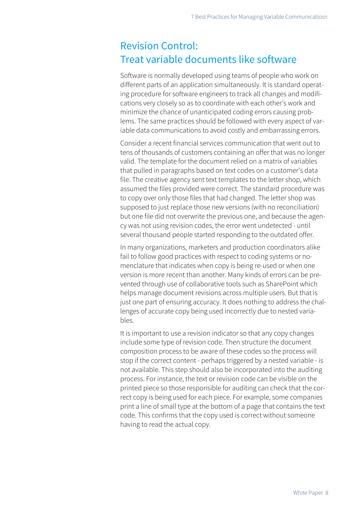### Revision Control: Treat variable documents like software

Software is normally developed using teams of people who work on different parts of an application simultaneously. It is standard operating procedure for software engineers to track all changes and modifications very closely so as to coordinate with each other's work and minimize the chance of unanticipated coding errors causing problems. The same practices should be followed with every aspect of variable data communications to avoid costly and embarrassing errors.

Consider a recent financial services communication that went out to tens of thousands of customers containing an offer that was no longer valid. The template for the document relied on a matrix of variables that pulled in paragraphs based on text codes on a customer's data file. The creative agency sent text templates to the letter shop, which assumed the files provided were correct. The standard procedure was to copy over only those files that had changed. The letter shop was supposed to just replace those new versions (with no reconciliation) but one file did not overwrite the previous one, and because the agency was not using revision codes, the error went undetected - until several thousand people started responding to the outdated offer.

In many organizations, marketers and production coordinators alike fail to follow good practices with respect to coding systems or nomenclature that indicates when copy is being re-used or when one version is more recent than another. Many kinds of errors can be prevented through use of collaborative tools such as SharePoint which helps manage document revisions across multiple users. But that is just one part of ensuring accuracy. It does nothing to address the challenges of accurate copy being used incorrectly due to nested variables.

It is important to use a revision indicator so that any copy changes include some type of revision code. Then structure the document composition process to be aware of these codes so the process will stop if the correct content - perhaps triggered by a nested variable - is not available. This step should also be incorporated into the auditing process. For instance, the text or revision code can be visible on the printed piece so those responsible for auditing can check that the correct copy is being used for each piece. For example, some companies print a line of small type at the bottom of a page that contains the text code. This confirms that the copy used is correct without someone having to read the actual copy.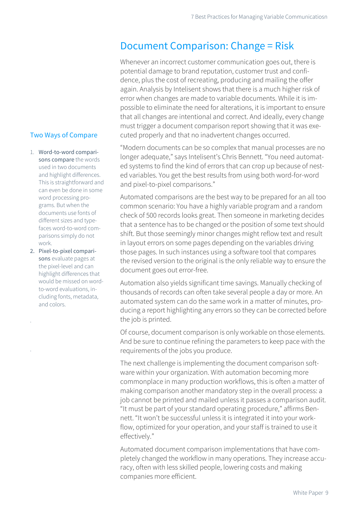### Document Comparison: Change = Risk

Whenever an incorrect customer communication goes out, there is potential damage to brand reputation, customer trust and confidence, plus the cost of recreating, producing and mailing the offer again. Analysis by Intelisent shows that there is a much higher risk of error when changes are made to variable documents. While it is impossible to eliminate the need for alterations, it is important to ensure that all changes are intentional and correct. And ideally, every change must trigger a document comparison report showing that it was executed properly and that no inadvertent changes occurred.

"Modern documents can be so complex that manual processes are no longer adequate," says Intelisent's Chris Bennett. "You need automated systems to find the kind of errors that can crop up because of nested variables. You get the best results from using both word-for-word and pixel-to-pixel comparisons."

Automated comparisons are the best way to be prepared for an all too common scenario: You have a highly variable program and a random check of 500 records looks great. Then someone in marketing decides that a sentence has to be changed or the position of some text should shift. But those seemingly minor changes might reflow text and result in layout errors on some pages depending on the variables driving those pages. In such instances using a software tool that compares the revised version to the original is the only reliable way to ensure the document goes out error-free.

Automation also yields significant time savings. Manually checking of thousands of records can often take several people a day or more. An automated system can do the same work in a matter of minutes, producing a report highlighting any errors so they can be corrected before the job is printed.

Of course, document comparison is only workable on those elements. And be sure to continue refining the parameters to keep pace with the requirements of the jobs you produce.

The next challenge is implementing the document comparison software within your organization. With automation becoming more commonplace in many production workflows, this is often a matter of making comparison another mandatory step in the overall process: a job cannot be printed and mailed unless it passes a comparison audit. "It must be part of your standard operating procedure," affirms Bennett. "It won't be successful unless it is integrated it into your workflow, optimized for your operation, and your staff is trained to use it effectively."

Automated document comparison implementations that have completely changed the workflow in many operations. They increase accuracy, often with less skilled people, lowering costs and making companies more efficient.

#### Two Ways of Compare

- 1. Word-to-word comparisons compare the words used in two documents and highlight differences. This is straightforward and can even be done in some word processing programs. But when the documents use fonts of different sizes and typefaces word-to-word comparisons simply do not work.
- 2. Pixel-to-pixel comparisons evaluate pages at the pixel-level and can highlight differences that would be missed on wordto-word evaluations, including fonts, metadata, and colors.

.

.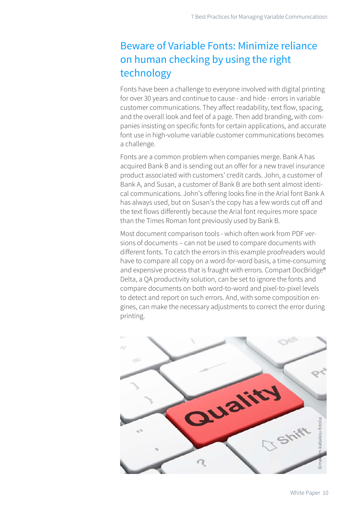### Beware of Variable Fonts: Minimize reliance on human checking by using the right technology

Fonts have been a challenge to everyone involved with digital printing for over 30 years and continue to cause - and hide - errors in variable customer communications. They affect readability, text flow, spacing, and the overall look and feel of a page. Then add branding, with companies insisting on specific fonts for certain applications, and accurate font use in high-volume variable customer communications becomes a challenge.

Fonts are a common problem when companies merge. Bank A has acquired Bank B and is sending out an offer for a new travel insurance product associated with customers' credit cards. John, a customer of Bank A, and Susan, a customer of Bank B are both sent almost identical communications. John's offering looks fine in the Arial font Bank A has always used, but on Susan's the copy has a few words cut off and the text flows differently because the Arial font requires more space than the Times Roman font previously used by Bank B.

Most document comparison tools - which often work from PDF versions of documents – can not be used to compare documents with different fonts. To catch the errors in this example proofreaders would have to compare all copy on a word-for-word basis, a time-consuming and expensive process that is fraught with errors. Compart DocBridge® Delta, a QA productivity solution, can be set to ignore the fonts and compare documents on both word-to-word and pixel-to-pixel levels to detect and report on such errors. And, with some composition engines, can make the necessary adjustments to correct the error during printing.

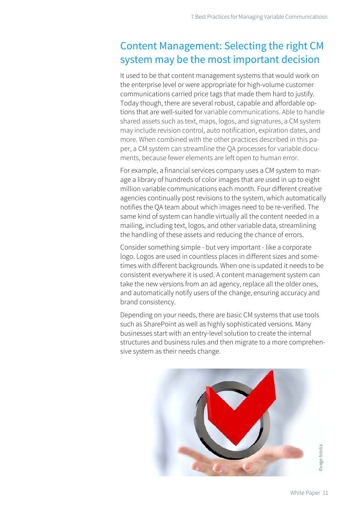## Content Management: Selecting the right CM system may be the most important decision

It used to be that content management systems that would work on the enterprise level or were appropriate for high-volume customer communications carried price tags that made them hard to justify. Today though, there are several robust, capable and affordable options that are well-suited for variable communications. Able to handle shared assets such as text, maps, logos, and signatures, a CM system may include revision control, auto notification, expiration dates, and more. When combined with the other practices described in this paper, a CM system can streamline the QA processes for variable documents, because fewer elements are left open to human error.

For example, a financial services company uses a CM system to manage a library of hundreds of color images that are used in up to eight million variable communications each month. Four different creative agencies continually post revisions to the system, which automatically notifies the QA team about which images need to be re-verified. The same kind of system can handle virtually all the content needed in a mailing, including text, logos, and other variable data, streamlining the handling of these assets and reducing the chance of errors.

Consider something simple - but very important - like a corporate logo. Logos are used in countless places in different sizes and sometimes with different backgrounds. When one is updated it needs to be consistent everywhere it is used. A content management system can take the new versions from an ad agency, replace all the older ones, and automatically notify users of the change, ensuring accuracy and brand consistency.

Depending on your needs, there are basic CM systems that use tools such as SharePoint as well as highly sophisticated versions. Many businesses start with an entry-level solution to create the internal structures and business rules and then migrate to a more comprehensive system as their needs change.

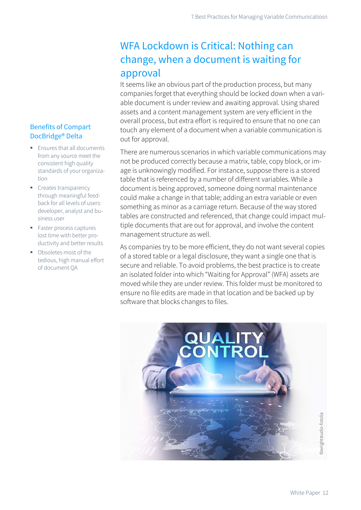### WFA Lockdown is Critical: Nothing can change, when a document is waiting for approval

It seems like an obvious part of the production process, but many companies forget that everything should be locked down when a variable document is under review and awaiting approval. Using shared assets and a content management system are very efficient in the overall process, but extra effort is required to ensure that no one can touch any element of a document when a variable communication is out for approval.

There are numerous scenarios in which variable communications may not be produced correctly because a matrix, table, copy block, or image is unknowingly modified. For instance, suppose there is a stored table that is referenced by a number of different variables. While a document is being approved, someone doing normal maintenance could make a change in that table; adding an extra variable or even something as minor as a carriage return. Because of the way stored tables are constructed and referenced, that change could impact multiple documents that are out for approval, and involve the content management structure as well.

As companies try to be more efficient, they do not want several copies of a stored table or a legal disclosure, they want a single one that is secure and reliable. To avoid problems, the best practice is to create an isolated folder into which "Waiting for Approval" (WFA) assets are moved while they are under review. This folder must be monitored to ensure no file edits are made in that location and be backed up by software that blocks changes to files.



#### Benefits of Compart DocBridge® Delta

- **Ensures that all documents** from any source meet the consistent high quality standards of your organization
- Creates transparency through meaningful feedback for all levels of users: developer, analyst and business user
- Faster process captures lost time with better productivity and better results
- Obsoletes most of the tedious, high manual effort of document QA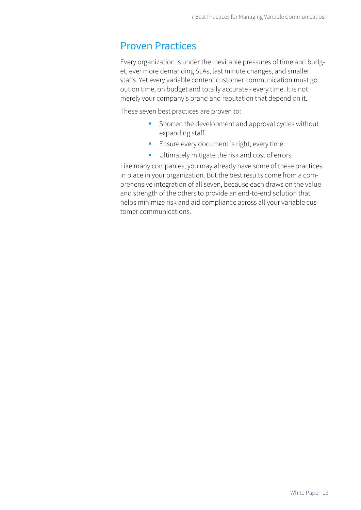### Proven Practices

Every organization is under the inevitable pressures of time and budget, ever more demanding SLAs, last minute changes, and smaller staffs. Yet every variable content customer communication must go out on time, on budget and totally accurate - every time. It is not merely your company's brand and reputation that depend on it.

These seven best practices are proven to:

- **Shorten the development and approval cycles without** expanding staff.
- **Ensure every document is right, every time.**
- **Ultimately mitigate the risk and cost of errors.**

Like many companies, you may already have some of these practices in place in your organization. But the best results come from a comprehensive integration of all seven, because each draws on the value and strength of the others to provide an end-to-end solution that helps minimize risk and aid compliance across all your variable customer communications.